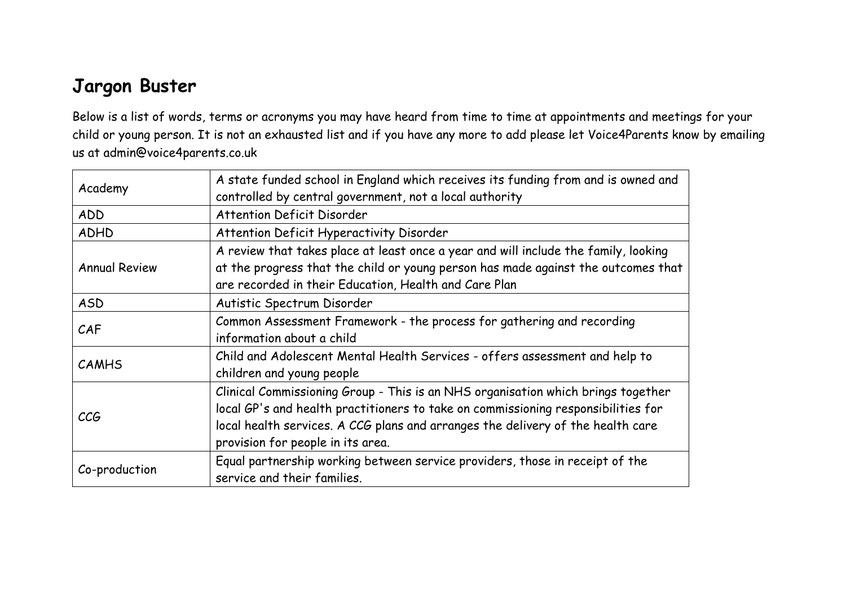## **Jargon Buster**

Below is a list of words, terms or acronyms you may have heard from time to time at appointments and meetings for your child or young person. It is not an exhausted list and if you have any more to add please let Voice4Parents know by emailing us at admin@voice4parents.co.uk

| Academy              | A state funded school in England which receives its funding from and is owned and<br>controlled by central government, not a local authority                                                                                                                                                  |
|----------------------|-----------------------------------------------------------------------------------------------------------------------------------------------------------------------------------------------------------------------------------------------------------------------------------------------|
| ADD                  | <b>Attention Deficit Disorder</b>                                                                                                                                                                                                                                                             |
| <b>ADHD</b>          | Attention Deficit Hyperactivity Disorder                                                                                                                                                                                                                                                      |
| <b>Annual Review</b> | A review that takes place at least once a year and will include the family, looking<br>at the progress that the child or young person has made against the outcomes that<br>are recorded in their Education, Health and Care Plan                                                             |
| <b>ASD</b>           | Autistic Spectrum Disorder                                                                                                                                                                                                                                                                    |
| CAF                  | Common Assessment Framework - the process for gathering and recording<br>information about a child                                                                                                                                                                                            |
| <b>CAMHS</b>         | Child and Adolescent Mental Health Services - offers assessment and help to<br>children and young people                                                                                                                                                                                      |
| <b>CCG</b>           | Clinical Commissioning Group - This is an NHS organisation which brings together<br>local GP's and health practitioners to take on commissioning responsibilities for<br>local health services. A CCG plans and arranges the delivery of the health care<br>provision for people in its area. |
| Co-production        | Equal partnership working between service providers, those in receipt of the<br>service and their families.                                                                                                                                                                                   |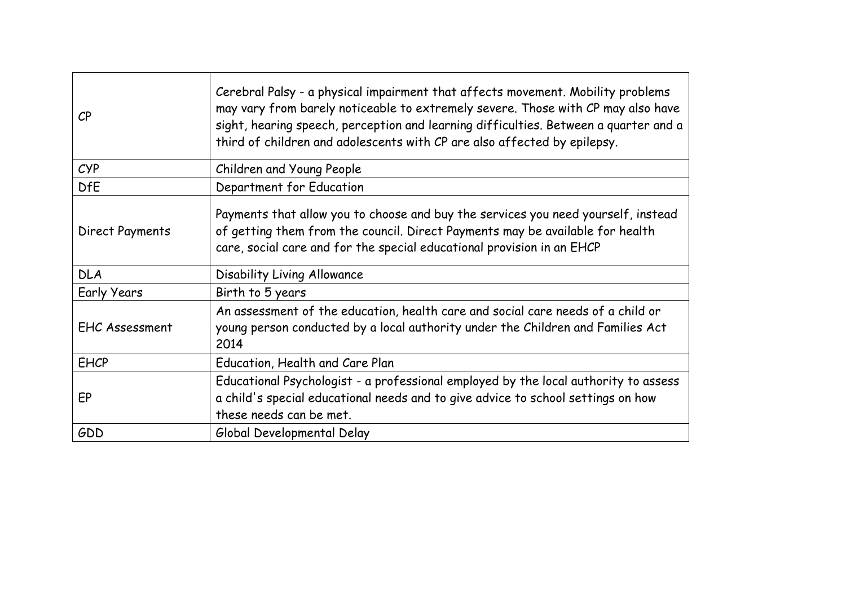| $\mathcal{C}P$        | Cerebral Palsy - a physical impairment that affects movement. Mobility problems<br>may vary from barely noticeable to extremely severe. Those with CP may also have<br>sight, hearing speech, perception and learning difficulties. Between a quarter and a<br>third of children and adolescents with CP are also affected by epilepsy. |
|-----------------------|-----------------------------------------------------------------------------------------------------------------------------------------------------------------------------------------------------------------------------------------------------------------------------------------------------------------------------------------|
| CYP                   | Children and Young People                                                                                                                                                                                                                                                                                                               |
| <b>DfE</b>            | Department for Education                                                                                                                                                                                                                                                                                                                |
| Direct Payments       | Payments that allow you to choose and buy the services you need yourself, instead<br>of getting them from the council. Direct Payments may be available for health<br>care, social care and for the special educational provision in an EHCP                                                                                            |
| <b>DLA</b>            | Disability Living Allowance                                                                                                                                                                                                                                                                                                             |
| <b>Early Years</b>    | Birth to 5 years                                                                                                                                                                                                                                                                                                                        |
| <b>EHC Assessment</b> | An assessment of the education, health care and social care needs of a child or<br>young person conducted by a local authority under the Children and Families Act<br>2014                                                                                                                                                              |
| <b>EHCP</b>           | Education, Health and Care Plan                                                                                                                                                                                                                                                                                                         |
| EP                    | Educational Psychologist - a professional employed by the local authority to assess<br>a child's special educational needs and to give advice to school settings on how<br>these needs can be met.                                                                                                                                      |
| GDD                   | Global Developmental Delay                                                                                                                                                                                                                                                                                                              |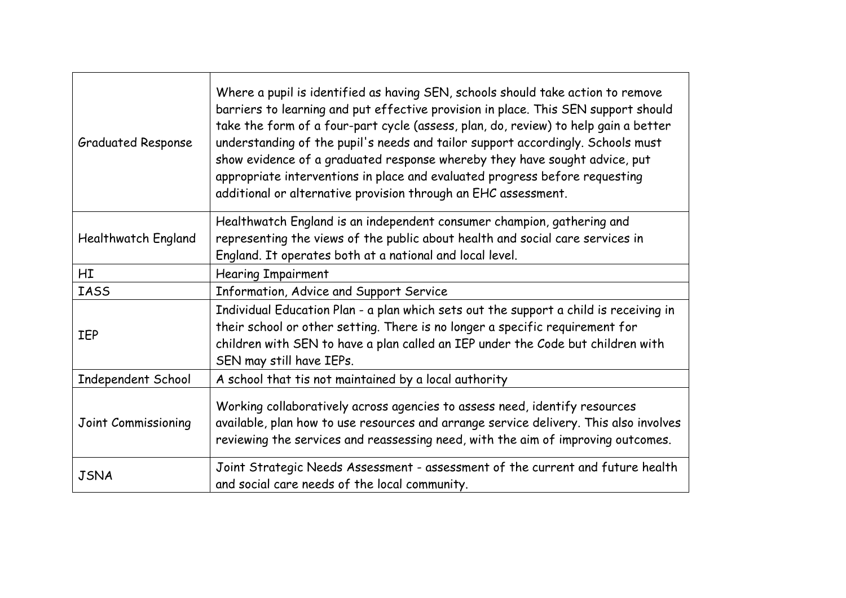| <b>Graduated Response</b>  | Where a pupil is identified as having SEN, schools should take action to remove<br>barriers to learning and put effective provision in place. This SEN support should<br>take the form of a four-part cycle (assess, plan, do, review) to help gain a better<br>understanding of the pupil's needs and tailor support accordingly. Schools must<br>show evidence of a graduated response whereby they have sought advice, put<br>appropriate interventions in place and evaluated progress before requesting<br>additional or alternative provision through an EHC assessment. |
|----------------------------|--------------------------------------------------------------------------------------------------------------------------------------------------------------------------------------------------------------------------------------------------------------------------------------------------------------------------------------------------------------------------------------------------------------------------------------------------------------------------------------------------------------------------------------------------------------------------------|
| <b>Healthwatch England</b> | Healthwatch England is an independent consumer champion, gathering and<br>representing the views of the public about health and social care services in<br>England. It operates both at a national and local level.                                                                                                                                                                                                                                                                                                                                                            |
| HI                         | <b>Hearing Impairment</b>                                                                                                                                                                                                                                                                                                                                                                                                                                                                                                                                                      |
| <b>IASS</b>                | Information, Advice and Support Service                                                                                                                                                                                                                                                                                                                                                                                                                                                                                                                                        |
| IEP                        | Individual Education Plan - a plan which sets out the support a child is receiving in<br>their school or other setting. There is no longer a specific requirement for<br>children with SEN to have a plan called an IEP under the Code but children with<br>SEN may still have IEPs.                                                                                                                                                                                                                                                                                           |
| Independent School         | A school that tis not maintained by a local authority                                                                                                                                                                                                                                                                                                                                                                                                                                                                                                                          |
| Joint Commissioning        | Working collaboratively across agencies to assess need, identify resources<br>available, plan how to use resources and arrange service delivery. This also involves<br>reviewing the services and reassessing need, with the aim of improving outcomes.                                                                                                                                                                                                                                                                                                                        |
| <b>JSNA</b>                | Joint Strategic Needs Assessment - assessment of the current and future health<br>and social care needs of the local community.                                                                                                                                                                                                                                                                                                                                                                                                                                                |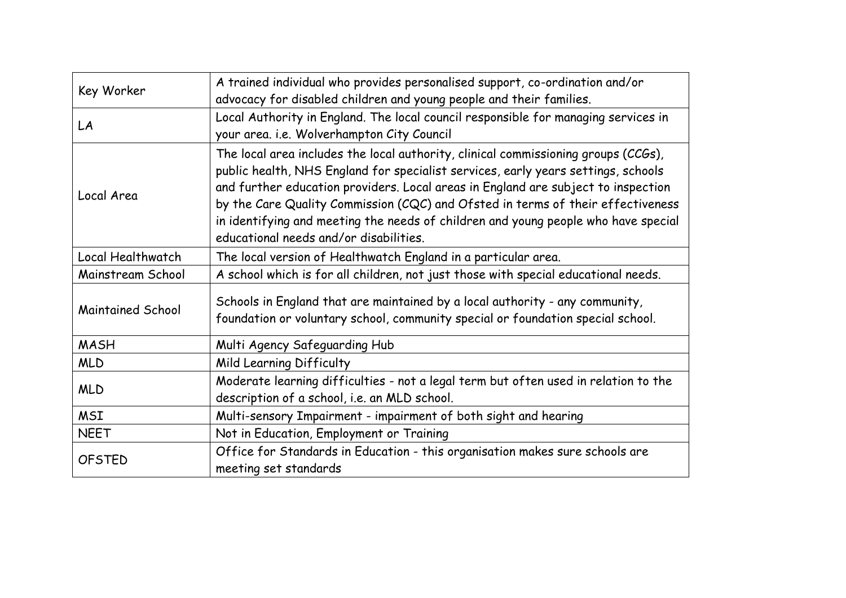| Key Worker               | A trained individual who provides personalised support, co-ordination and/or        |
|--------------------------|-------------------------------------------------------------------------------------|
|                          | advocacy for disabled children and young people and their families.                 |
| LA                       | Local Authority in England. The local council responsible for managing services in  |
|                          | your area. i.e. Wolverhampton City Council                                          |
|                          | The local area includes the local authority, clinical commissioning groups (CCGs),  |
|                          | public health, NHS England for specialist services, early years settings, schools   |
|                          | and further education providers. Local areas in England are subject to inspection   |
| Local Area               | by the Care Quality Commission (CQC) and Ofsted in terms of their effectiveness     |
|                          | in identifying and meeting the needs of children and young people who have special  |
|                          | educational needs and/or disabilities.                                              |
| Local Healthwatch        | The local version of Healthwatch England in a particular area.                      |
| Mainstream School        | A school which is for all children, not just those with special educational needs.  |
|                          | Schools in England that are maintained by a local authority - any community,        |
| <b>Maintained School</b> | foundation or voluntary school, community special or foundation special school.     |
|                          |                                                                                     |
| <b>MASH</b>              | Multi Agency Safeguarding Hub                                                       |
| <b>MLD</b>               | Mild Learning Difficulty                                                            |
| <b>MLD</b>               | Moderate learning difficulties - not a legal term but often used in relation to the |
|                          | description of a school, i.e. an MLD school.                                        |
| <b>MSI</b>               | Multi-sensory Impairment - impairment of both sight and hearing                     |
| <b>NEET</b>              | Not in Education, Employment or Training                                            |
| <b>OFSTED</b>            | Office for Standards in Education - this organisation makes sure schools are        |
|                          | meeting set standards                                                               |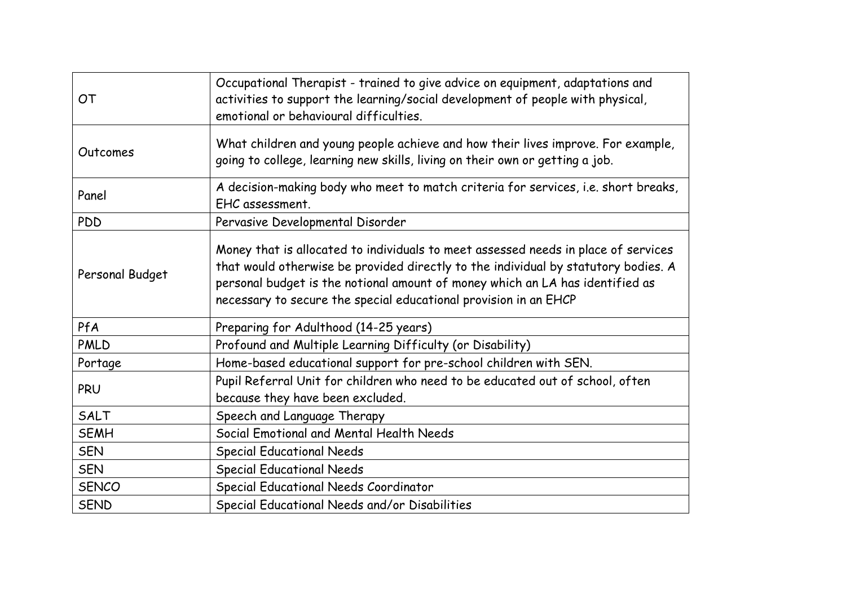| OT              | Occupational Therapist - trained to give advice on equipment, adaptations and<br>activities to support the learning/social development of people with physical,<br>emotional or behavioural difficulties.                                                                                                                     |
|-----------------|-------------------------------------------------------------------------------------------------------------------------------------------------------------------------------------------------------------------------------------------------------------------------------------------------------------------------------|
| Outcomes        | What children and young people achieve and how their lives improve. For example,<br>going to college, learning new skills, living on their own or getting a job.                                                                                                                                                              |
| Panel           | A decision-making body who meet to match criteria for services, i.e. short breaks,<br>EHC assessment.                                                                                                                                                                                                                         |
| <b>PDD</b>      | Pervasive Developmental Disorder                                                                                                                                                                                                                                                                                              |
| Personal Budget | Money that is allocated to individuals to meet assessed needs in place of services<br>that would otherwise be provided directly to the individual by statutory bodies. A<br>personal budget is the notional amount of money which an LA has identified as<br>necessary to secure the special educational provision in an EHCP |
| PfA             | Preparing for Adulthood (14-25 years)                                                                                                                                                                                                                                                                                         |
| <b>PMLD</b>     | Profound and Multiple Learning Difficulty (or Disability)                                                                                                                                                                                                                                                                     |
| Portage         | Home-based educational support for pre-school children with SEN.                                                                                                                                                                                                                                                              |
| PRU             | Pupil Referral Unit for children who need to be educated out of school, often<br>because they have been excluded.                                                                                                                                                                                                             |
| SALT            | Speech and Language Therapy                                                                                                                                                                                                                                                                                                   |
| <b>SEMH</b>     | Social Emotional and Mental Health Needs                                                                                                                                                                                                                                                                                      |
| <b>SEN</b>      | <b>Special Educational Needs</b>                                                                                                                                                                                                                                                                                              |
| <b>SEN</b>      | <b>Special Educational Needs</b>                                                                                                                                                                                                                                                                                              |
| <b>SENCO</b>    | Special Educational Needs Coordinator                                                                                                                                                                                                                                                                                         |
| <b>SEND</b>     | Special Educational Needs and/or Disabilities                                                                                                                                                                                                                                                                                 |